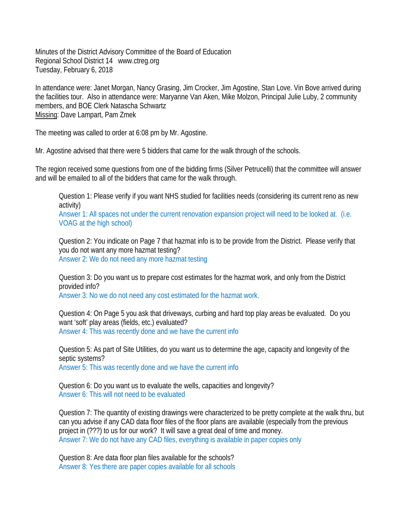Minutes of the District Advisory Committee of the Board of Education Regional School District 14 www.ctreg.org Tuesday, February 6, 2018

In attendance were: Janet Morgan, Nancy Grasing, Jim Crocker, Jim Agostine, Stan Love. Vin Bove arrived during the facilities tour. Also in attendance were: Maryanne Van Aken, Mike Molzon, Principal Julie Luby, 2 community members, and BOE Clerk Natascha Schwartz Missing: Dave Lampart, Pam Zmek

The meeting was called to order at 6:08 pm by Mr. Agostine.

Mr. Agostine advised that there were 5 bidders that came for the walk through of the schools.

The region received some questions from one of the bidding firms (Silver Petrucelli) that the committee will answer and will be emailed to all of the bidders that came for the walk through.

Question 1: Please verify if you want NHS studied for facilities needs (considering its current reno as new activity)

Answer 1: All spaces not under the current renovation expansion project will need to be looked at. (i.e. VOAG at the high school)

Question 2: You indicate on Page 7 that hazmat info is to be provide from the District. Please verify that you do not want any more hazmat testing? Answer 2: We do not need any more hazmat testing

Question 3: Do you want us to prepare cost estimates for the hazmat work, and only from the District provided info?

Answer 3: No we do not need any cost estimated for the hazmat work.

Question 4: On Page 5 you ask that driveways, curbing and hard top play areas be evaluated. Do you want 'soft' play areas (fields, etc.) evaluated? Answer 4: This was recently done and we have the current info

Question 5: As part of Site Utilities, do you want us to determine the age, capacity and longevity of the septic systems? Answer 5: This was recently done and we have the current info

Question 6: Do you want us to evaluate the wells, capacities and longevity? Answer 6: This will not need to be evaluated

Question 7: The quantity of existing drawings were characterized to be pretty complete at the walk thru, but can you advise if any CAD data floor files of the floor plans are available (especially from the previous project in (???) to us for our work? It will save a great deal of time and money. Answer 7: We do not have any CAD files, everything is available in paper copies only

Question 8: Are data floor plan files available for the schools? Answer 8: Yes there are paper copies available for all schools